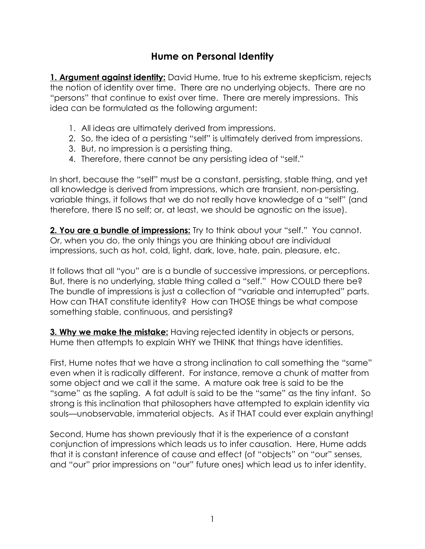## **Hume on Personal Identity**

**1. Argument against identity:** David Hume, true to his extreme skepticism, rejects the notion of identity over time. There are no underlying objects. There are no "persons" that continue to exist over time. There are merely impressions. This idea can be formulated as the following argument:

- 1. All ideas are ultimately derived from impressions.
- 2. So, the idea of a persisting "self" is ultimately derived from impressions.
- 3. But, no impression is a persisting thing.
- 4. Therefore, there cannot be any persisting idea of "self."

In short, because the "self" must be a constant, persisting, stable thing, and yet all knowledge is derived from impressions, which are transient, non-persisting, variable things, it follows that we do not really have knowledge of a "self" (and therefore, there IS no self; or, at least, we should be agnostic on the issue).

**2. You are a bundle of impressions:** Try to think about your "self." You cannot. Or, when you do, the only things you are thinking about are individual impressions, such as hot, cold, light, dark, love, hate, pain, pleasure, etc.

It follows that all "you" are is a bundle of successive impressions, or perceptions. But, there is no underlying, stable thing called a "self." How COULD there be? The bundle of impressions is just a collection of "variable and interrupted" parts. How can THAT constitute identity? How can THOSE things be what compose something stable, continuous, and persisting?

**3. Why we make the mistake:** Having rejected identity in objects or persons, Hume then attempts to explain WHY we THINK that things have identities.

First, Hume notes that we have a strong inclination to call something the "same" even when it is radically different. For instance, remove a chunk of matter from some object and we call it the same. A mature oak tree is said to be the "same" as the sapling. A fat adult is said to be the "same" as the tiny infant. So strong is this inclination that philosophers have attempted to explain identity via souls—unobservable, immaterial objects. As if THAT could ever explain anything!

Second, Hume has shown previously that it is the experience of a constant conjunction of impressions which leads us to infer causation. Here, Hume adds that it is constant inference of cause and effect (of "objects" on "our" senses, and "our" prior impressions on "our" future ones) which lead us to infer identity.